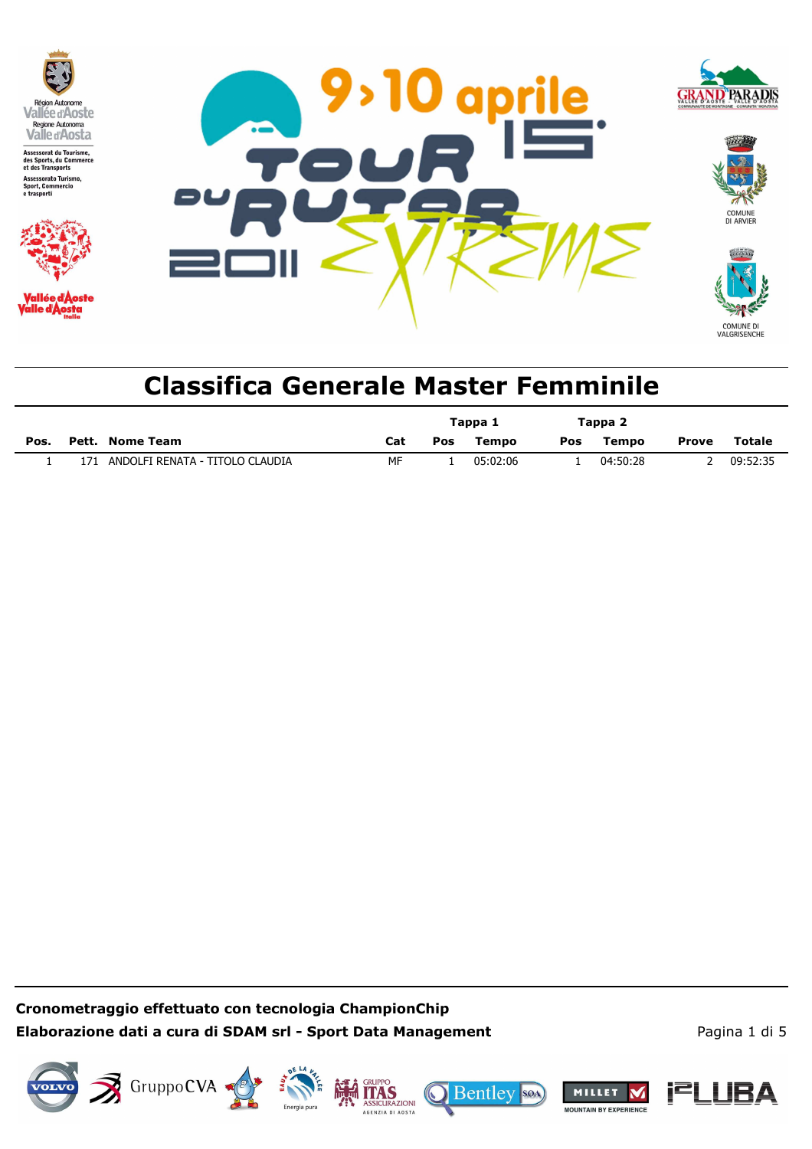

# **Classifica Generale Master Femminile**

|      |     |                                 |     | Tappa 1    |          | Tappa 2    |          |       |          |
|------|-----|---------------------------------|-----|------------|----------|------------|----------|-------|----------|
| Pos. |     | Pett. Nome Team                 | Cat | <b>Pos</b> | Tempo    | <b>Pos</b> | Tempo    | Prove | Totale   |
|      | 171 | ANDOLFI RENATA - TITOLO CLAUDIA | МF  |            | 05:02:06 |            | 04:50:28 |       | 09:52:35 |

**Cronometraggio effettuato con tecnologia ChampionChip Elaborazione dati a cura di SDAM srl - Sport Data Management** Pagina 1 di 5



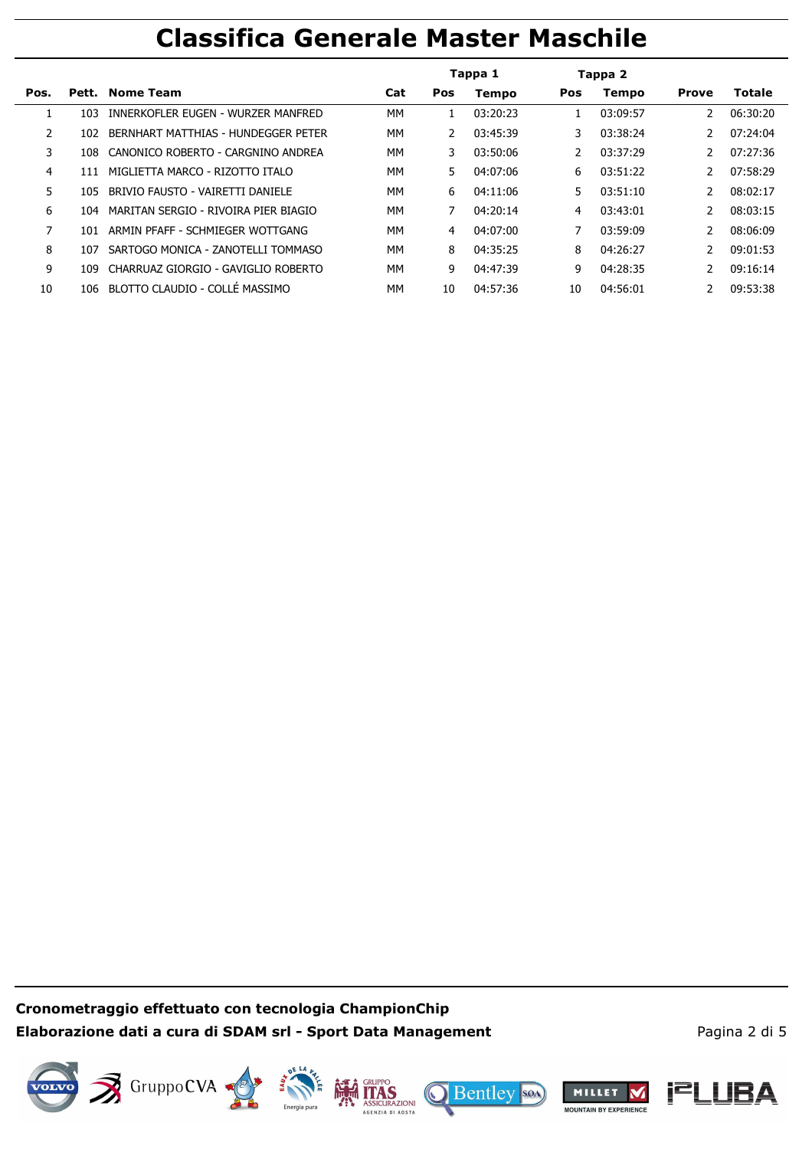## **Classifica Generale Master Maschile**

|      |     |                                      |     | Tappa 1    |              | Tappa 2 |          |               |               |
|------|-----|--------------------------------------|-----|------------|--------------|---------|----------|---------------|---------------|
| Pos. |     | Pett. Nome Team                      | Cat | <b>Pos</b> | <b>Tempo</b> | Pos     | Tempo    | Prove         | <b>Totale</b> |
|      | 103 | INNERKOFLER EUGEN - WURZER MANFRED   | MM  |            | 03:20:23     | 1       | 03:09:57 | $\mathcal{P}$ | 06:30:20      |
| 2    | 102 | BERNHART MATTHIAS - HUNDEGGER PETER  | MM  | 2          | 03:45:39     | 3       | 03:38:24 |               | 07:24:04      |
| 3    | 108 | CANONICO ROBERTO - CARGNINO ANDREA   | MM  | 3          | 03:50:06     | 2       | 03:37:29 |               | 07:27:36      |
| 4    | 111 | MIGLIETTA MARCO - RIZOTTO ITALO      | MM  | 5.         | 04:07:06     | 6       | 03:51:22 |               | 07:58:29      |
| 5.   | 105 | BRIVIO FAUSTO - VAIRETTI DANIELE     | MM  | 6          | 04:11:06     | 5.      | 03:51:10 |               | 08:02:17      |
| 6    | 104 | MARITAN SERGIO - RIVOIRA PIER BIAGIO | MM  | 7          | 04:20:14     | 4       | 03:43:01 |               | 08:03:15      |
| 7    | 101 | ARMIN PFAFF - SCHMIEGER WOTTGANG     | MM  | 4          | 04:07:00     | 7       | 03:59:09 |               | 08:06:09      |
| 8    | 107 | SARTOGO MONICA - ZANOTELLI TOMMASO   | MМ  | 8          | 04:35:25     | 8       | 04:26:27 |               | 09:01:53      |
| 9    | 109 | CHARRUAZ GIORGIO - GAVIGLIO ROBERTO  | MM  | 9          | 04:47:39     | 9       | 04:28:35 |               | 09:16:14      |
| 10   | 106 | BLOTTO CLAUDIO - COLLE MASSIMO       | MM  | 10         | 04:57:36     | 10      | 04:56:01 |               | 09:53:38      |

**Cronometraggio effettuato con tecnologia ChampionChip Elaborazione dati a cura di SDAM srl - Sport Data Management** Pagina 2 di 5

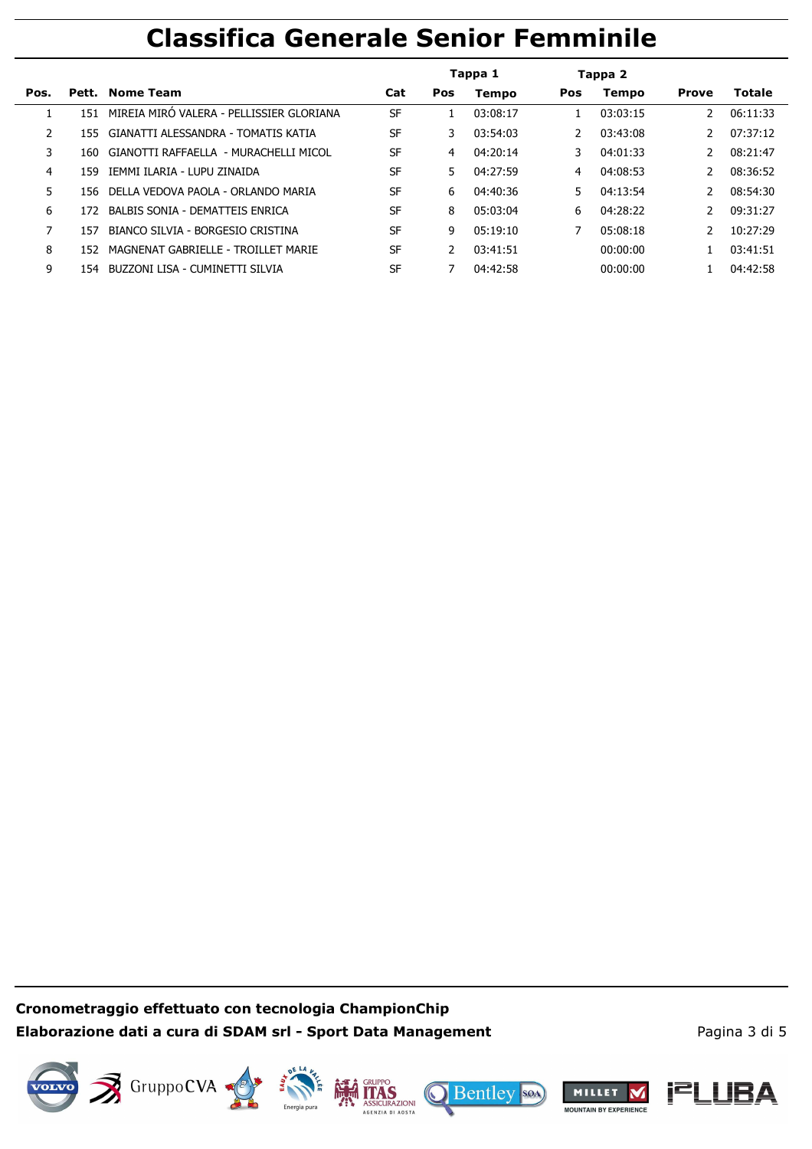# **Classifica Generale Senior Femminile**

|      |       |                                          |           | Tappa 1 |              | Tappa 2    |              |               |               |
|------|-------|------------------------------------------|-----------|---------|--------------|------------|--------------|---------------|---------------|
| Pos. | Pett. | <b>Nome Team</b>                         | Cat       | Pos     | <b>Tempo</b> | <b>Pos</b> | <b>Tempo</b> | <b>Prove</b>  | <b>Totale</b> |
|      | 151   | MIREIA MIRO VALERA - PELLISSIER GLORIANA | <b>SF</b> |         | 03:08:17     |            | 03:03:15     | 2             | 06:11:33      |
| 2    | 155   | GIANATTI ALESSANDRA - TOMATIS KATIA      | SF        | 3       | 03:54:03     | 2          | 03:43:08     |               | 07:37:12      |
| 3    | 160   | GIANOTTI RAFFAELLA - MURACHELLI MICOL    | <b>SF</b> | 4       | 04:20:14     | 3          | 04:01:33     | $\mathcal{P}$ | 08:21:47      |
| 4    | 159   | IEMMI ILARIA - LUPU ZINAIDA              | <b>SF</b> | 5.      | 04:27:59     | 4          | 04:08:53     |               | 08:36:52      |
| 5    | 156.  | DELLA VEDOVA PAOLA - ORLANDO MARIA       | SF        | 6       | 04:40:36     | 5.         | 04:13:54     |               | 08:54:30      |
| 6    | 172.  | BALBIS SONIA - DEMATTEIS ENRICA          | <b>SF</b> | 8       | 05:03:04     | 6          | 04:28:22     | 2             | 09:31:27      |
| 7    | 157   | BIANCO SILVIA - BORGESIO CRISTINA        | <b>SF</b> | 9       | 05:19:10     | 7          | 05:08:18     |               | 10:27:29      |
| 8    | 152   | MAGNENAT GABRIELLE - TROILLET MARIE      | <b>SF</b> |         | 03:41:51     |            | 00:00:00     |               | 03:41:51      |
| 9    | 154   | BUZZONI LISA - CUMINETTI SILVIA          | <b>SF</b> |         | 04:42:58     |            | 00:00:00     |               | 04:42:58      |

**Cronometraggio effettuato con tecnologia ChampionChip Elaborazione dati a cura di SDAM srl - Sport Data Management** Pagina 3 di 5

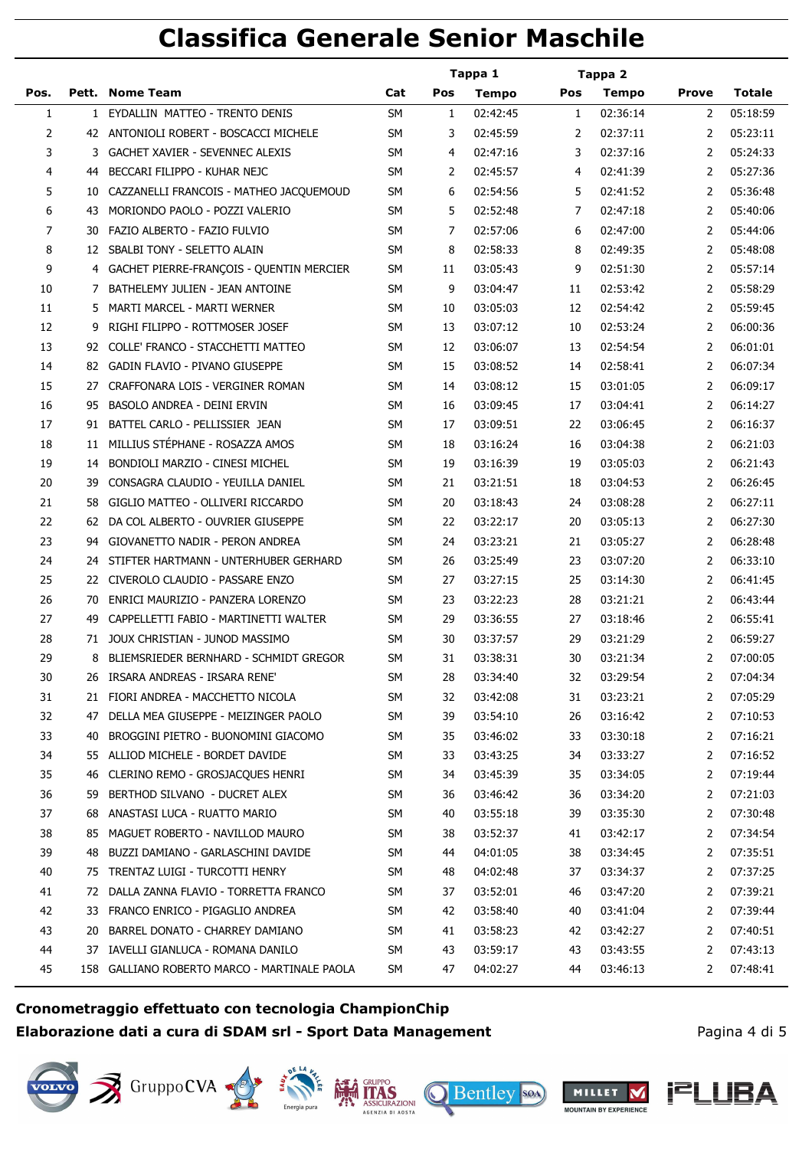## **Classifica Generale Senior Maschile**

|              |    |                                              |           |              | Tappa 1      |              | Tappa 2      |              |               |
|--------------|----|----------------------------------------------|-----------|--------------|--------------|--------------|--------------|--------------|---------------|
| Pos.         |    | Pett. Nome Team                              | Cat       | Pos          | <b>Tempo</b> | Pos          | <b>Tempo</b> | <b>Prove</b> | <b>Totale</b> |
| $\mathbf{1}$ |    | 1 EYDALLIN MATTEO - TRENTO DENIS             | SM        | $\mathbf{1}$ | 02:42:45     | $\mathbf{1}$ | 02:36:14     | 2            | 05:18:59      |
| 2            |    | 42 ANTONIOLI ROBERT - BOSCACCI MICHELE       | <b>SM</b> | 3            | 02:45:59     | 2            | 02:37:11     | 2            | 05:23:11      |
| 3            |    | 3 GACHET XAVIER - SEVENNEC ALEXIS            | SM        | 4            | 02:47:16     | 3            | 02:37:16     | 2            | 05:24:33      |
| 4            | 44 | BECCARI FILIPPO - KUHAR NEJC                 | <b>SM</b> | 2            | 02:45:57     | 4            | 02:41:39     | 2            | 05:27:36      |
| 5            | 10 | CAZZANELLI FRANCOIS - MATHEO JACQUEMOUD      | <b>SM</b> | 6            | 02:54:56     | 5            | 02:41:52     | 2            | 05:36:48      |
| 6            | 43 | MORIONDO PAOLO - POZZI VALERIO               | <b>SM</b> | 5            | 02:52:48     | 7            | 02:47:18     | 2            | 05:40:06      |
| 7            | 30 | FAZIO ALBERTO - FAZIO FULVIO                 | SM        | 7            | 02:57:06     | 6            | 02:47:00     | 2            | 05:44:06      |
| 8            |    | 12 SBALBI TONY - SELETTO ALAIN               | SM        | 8            | 02:58:33     | 8            | 02:49:35     | 2            | 05:48:08      |
| 9            |    | 4 GACHET PIERRE-FRANÇOIS - QUENTIN MERCIER   | SM        | 11           | 03:05:43     | 9            | 02:51:30     | 2            | 05:57:14      |
| 10           |    | 7 BATHELEMY JULIEN - JEAN ANTOINE            | <b>SM</b> | 9            | 03:04:47     | 11           | 02:53:42     | 2            | 05:58:29      |
| 11           |    | 5 MARTI MARCEL - MARTI WERNER                | SM        | 10           | 03:05:03     | 12           | 02:54:42     | 2            | 05:59:45      |
| 12           | 9  | RIGHI FILIPPO - ROTTMOSER JOSEF              | <b>SM</b> | 13           | 03:07:12     | 10           | 02:53:24     | 2            | 06:00:36      |
| 13           | 92 | COLLE' FRANCO - STACCHETTI MATTEO            | <b>SM</b> | 12           | 03:06:07     | 13           | 02:54:54     | 2            | 06:01:01      |
| 14           |    | 82 GADIN FLAVIO - PIVANO GIUSEPPE            | <b>SM</b> | 15           | 03:08:52     | 14           | 02:58:41     | 2            | 06:07:34      |
| 15           | 27 | CRAFFONARA LOIS - VERGINER ROMAN             | SM        | 14           | 03:08:12     | 15           | 03:01:05     | 2            | 06:09:17      |
| 16           | 95 | BASOLO ANDREA - DEINI ERVIN                  | <b>SM</b> | 16           | 03:09:45     | 17           | 03:04:41     | 2            | 06:14:27      |
| 17           | 91 | BATTEL CARLO - PELLISSIER JEAN               | <b>SM</b> | 17           | 03:09:51     | 22           | 03:06:45     | 2            | 06:16:37      |
| 18           |    | 11 MILLIUS STÉPHANE - ROSAZZA AMOS           | <b>SM</b> | 18           | 03:16:24     | 16           | 03:04:38     | 2            | 06:21:03      |
| 19           | 14 | BONDIOLI MARZIO - CINESI MICHEL              | SM        | 19           | 03:16:39     | 19           | 03:05:03     | 2            | 06:21:43      |
| 20           | 39 | CONSAGRA CLAUDIO - YEUILLA DANIEL            | <b>SM</b> | 21           | 03:21:51     | 18           | 03:04:53     | 2            | 06:26:45      |
| 21           | 58 | GIGLIO MATTEO - OLLIVERI RICCARDO            | <b>SM</b> | 20           | 03:18:43     | 24           | 03:08:28     | 2            | 06:27:11      |
| 22           | 62 | DA COL ALBERTO - OUVRIER GIUSEPPE            | <b>SM</b> | 22           | 03:22:17     | 20           | 03:05:13     | 2            | 06:27:30      |
| 23           | 94 | GIOVANETTO NADIR - PERON ANDREA              | <b>SM</b> | 24           | 03:23:21     | 21           | 03:05:27     | 2            | 06:28:48      |
| 24           | 24 | STIFTER HARTMANN - UNTERHUBER GERHARD        | SM        | 26           | 03:25:49     | 23           | 03:07:20     | 2            | 06:33:10      |
| 25           |    | 22 CIVEROLO CLAUDIO - PASSARE ENZO           | SM        | 27           | 03:27:15     | 25           | 03:14:30     | 2            | 06:41:45      |
| 26           | 70 | ENRICI MAURIZIO - PANZERA LORENZO            | <b>SM</b> | 23           | 03:22:23     | 28           | 03:21:21     | 2            | 06:43:44      |
| 27           | 49 | CAPPELLETTI FABIO - MARTINETTI WALTER        | <b>SM</b> | 29           | 03:36:55     | 27           | 03:18:46     | 2            | 06:55:41      |
| 28           | 71 | JOUX CHRISTIAN - JUNOD MASSIMO               | <b>SM</b> | 30           | 03:37:57     | 29           | 03:21:29     | 2            | 06:59:27      |
| 29           |    | 8 BLIEMSRIEDER BERNHARD - SCHMIDT GREGOR     | SM        | 31           | 03:38:31     | 30           | 03:21:34     | 2            | 07:00:05      |
| 30           |    | 26 IRSARA ANDREAS - IRSARA RENE'             | SM        | 28           | 03:34:40     | 32           | 03:29:54     | 2            | 07:04:34      |
| 31           |    | 21 FIORI ANDREA - MACCHETTO NICOLA           | SM        | 32           | 03:42:08     | 31           | 03:23:21     | 2            | 07:05:29      |
| 32           | 47 | DELLA MEA GIUSEPPE - MEIZINGER PAOLO         | SM        | 39           | 03:54:10     | 26           | 03:16:42     | 2            | 07:10:53      |
| 33           | 40 | BROGGINI PIETRO - BUONOMINI GIACOMO          | SM        | 35           | 03:46:02     | 33           | 03:30:18     | 2            | 07:16:21      |
| 34           | 55 | ALLIOD MICHELE - BORDET DAVIDE               | SM        | 33           | 03:43:25     | 34           | 03:33:27     | 2            | 07:16:52      |
| 35           | 46 | CLERINO REMO - GROSJACQUES HENRI             | SM        | 34           | 03:45:39     | 35           | 03:34:05     | 2            | 07:19:44      |
| 36           | 59 | BERTHOD SILVANO - DUCRET ALEX                | SM        | 36           | 03:46:42     | 36           | 03:34:20     | 2            | 07:21:03      |
| 37           | 68 | ANASTASI LUCA - RUATTO MARIO                 | SM        | 40           | 03:55:18     | 39           | 03:35:30     | 2            | 07:30:48      |
| 38           | 85 | MAGUET ROBERTO - NAVILLOD MAURO              | SM        | 38           | 03:52:37     | 41           | 03:42:17     | 2            | 07:34:54      |
| 39           | 48 | BUZZI DAMIANO - GARLASCHINI DAVIDE           | SM        | 44           | 04:01:05     | 38           | 03:34:45     | 2            | 07:35:51      |
| 40           | 75 | TRENTAZ LUIGI - TURCOTTI HENRY               | SM        | 48           | 04:02:48     | 37           | 03:34:37     | 2            | 07:37:25      |
| 41           | 72 | DALLA ZANNA FLAVIO - TORRETTA FRANCO         | SM        | 37           | 03:52:01     | 46           | 03:47:20     | 2            | 07:39:21      |
| 42           |    | 33 FRANCO ENRICO - PIGAGLIO ANDREA           | SM        | 42           | 03:58:40     | 40           | 03:41:04     | 2            | 07:39:44      |
| 43           | 20 | BARREL DONATO - CHARREY DAMIANO              | SM        | 41           | 03:58:23     | 42           | 03:42:27     | 2            | 07:40:51      |
| 44           | 37 | IAVELLI GIANLUCA - ROMANA DANILO             | SM        | 43           | 03:59:17     | 43           | 03:43:55     | 2            | 07:43:13      |
| 45           |    | 158 GALLIANO ROBERTO MARCO - MARTINALE PAOLA | SM        | 47           | 04:02:27     | 44           | 03:46:13     | 2            | 07:48:41      |

#### **Cronometraggio effettuato con tecnologia ChampionChip Elaborazione dati a cura di SDAM srl - Sport Data Management** Pagina 4 di 5











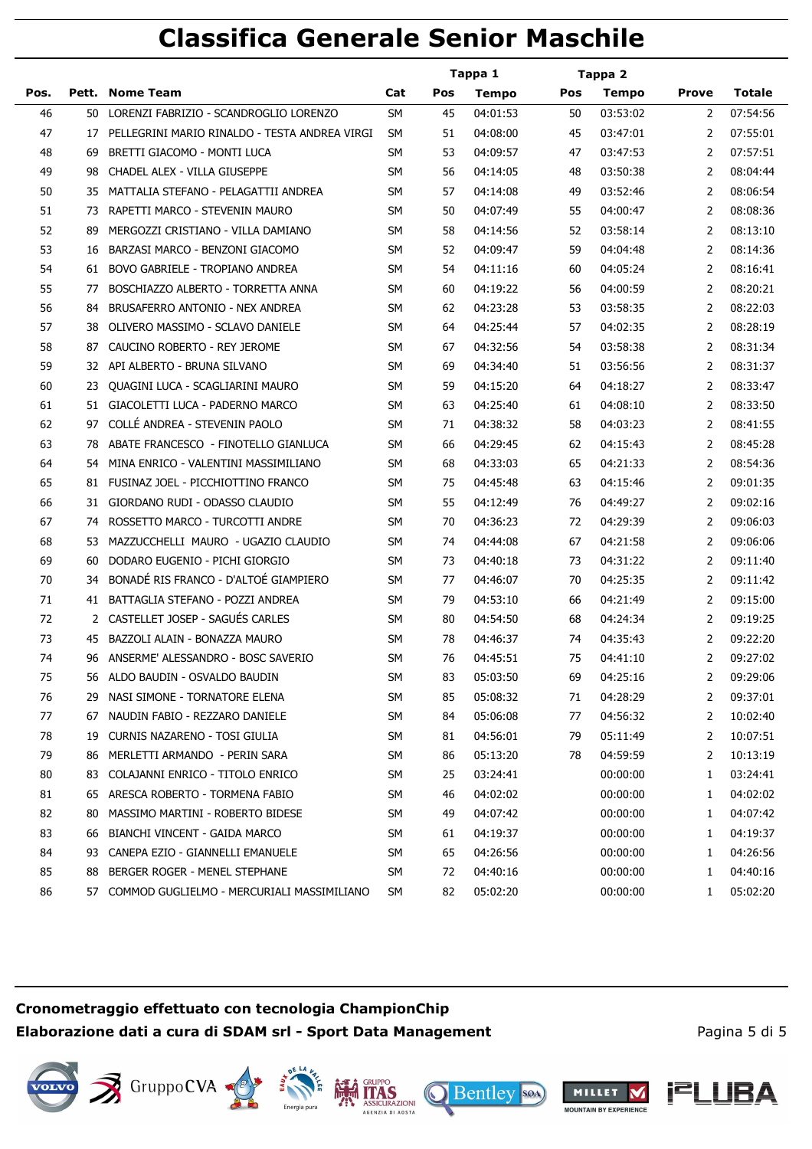### **Classifica Generale Senior Maschile**

|      |              |                                               | Tappa 1   |     |              | Tappa 2 |              |                |               |
|------|--------------|-----------------------------------------------|-----------|-----|--------------|---------|--------------|----------------|---------------|
| Pos. |              | Pett. Nome Team                               | Cat       | Pos | <b>Tempo</b> | Pos     | <b>Tempo</b> | <b>Prove</b>   | <b>Totale</b> |
| 46   | 50           | LORENZI FABRIZIO - SCANDROGLIO LORENZO        | <b>SM</b> | 45  | 04:01:53     | 50      | 03:53:02     | 2              | 07:54:56      |
| 47   | 17           | PELLEGRINI MARIO RINALDO - TESTA ANDREA VIRGI | <b>SM</b> | 51  | 04:08:00     | 45      | 03:47:01     | 2              | 07:55:01      |
| 48   | 69           | BRETTI GIACOMO - MONTI LUCA                   | <b>SM</b> | 53  | 04:09:57     | 47      | 03:47:53     | 2              | 07:57:51      |
| 49   | 98           | CHADEL ALEX - VILLA GIUSEPPE                  | <b>SM</b> | 56  | 04:14:05     | 48      | 03:50:38     | 2              | 08:04:44      |
| 50   | 35           | MATTALIA STEFANO - PELAGATTII ANDREA          | <b>SM</b> | 57  | 04:14:08     | 49      | 03:52:46     | 2              | 08:06:54      |
| 51   | 73           | RAPETTI MARCO - STEVENIN MAURO                | <b>SM</b> | 50  | 04:07:49     | 55      | 04:00:47     | 2              | 08:08:36      |
| 52   | 89           | MERGOZZI CRISTIANO - VILLA DAMIANO            | <b>SM</b> | 58  | 04:14:56     | 52      | 03:58:14     | 2              | 08:13:10      |
| 53   | 16           | BARZASI MARCO - BENZONI GIACOMO               | <b>SM</b> | 52  | 04:09:47     | 59      | 04:04:48     | 2              | 08:14:36      |
| 54   | 61           | <b>BOVO GABRIELE - TROPIANO ANDREA</b>        | <b>SM</b> | 54  | 04:11:16     | 60      | 04:05:24     | $\overline{2}$ | 08:16:41      |
| 55   | 77           | BOSCHIAZZO ALBERTO - TORRETTA ANNA            | <b>SM</b> | 60  | 04:19:22     | 56      | 04:00:59     | 2              | 08:20:21      |
| 56   | 84           | <b>BRUSAFERRO ANTONIO - NEX ANDREA</b>        | <b>SM</b> | 62  | 04:23:28     | 53      | 03:58:35     | 2              | 08:22:03      |
| 57   | 38           | OLIVERO MASSIMO - SCLAVO DANIELE              | <b>SM</b> | 64  | 04:25:44     | 57      | 04:02:35     | $\overline{2}$ | 08:28:19      |
| 58   | 87           | CAUCINO ROBERTO - REY JEROME                  | <b>SM</b> | 67  | 04:32:56     | 54      | 03:58:38     | 2              | 08:31:34      |
| 59   | 32           | API ALBERTO - BRUNA SILVANO                   | <b>SM</b> | 69  | 04:34:40     | 51      | 03:56:56     | 2              | 08:31:37      |
| 60   | 23           | QUAGINI LUCA - SCAGLIARINI MAURO              | <b>SM</b> | 59  | 04:15:20     | 64      | 04:18:27     | 2              | 08:33:47      |
| 61   | 51           | GIACOLETTI LUCA - PADERNO MARCO               | <b>SM</b> | 63  | 04:25:40     | 61      | 04:08:10     | 2              | 08:33:50      |
| 62   | 97           | COLLÉ ANDREA - STEVENIN PAOLO                 | <b>SM</b> | 71  | 04:38:32     | 58      | 04:03:23     | $\overline{2}$ | 08:41:55      |
| 63   | 78           | ABATE FRANCESCO - FINOTELLO GIANLUCA          | <b>SM</b> | 66  | 04:29:45     | 62      | 04:15:43     | 2              | 08:45:28      |
| 64   | 54           | MINA ENRICO - VALENTINI MASSIMILIANO          | <b>SM</b> | 68  | 04:33:03     | 65      | 04:21:33     | $\overline{2}$ | 08:54:36      |
| 65   | 81           | FUSINAZ JOEL - PICCHIOTTINO FRANCO            | <b>SM</b> | 75  | 04:45:48     | 63      | 04:15:46     | 2              | 09:01:35      |
| 66   | 31           | GIORDANO RUDI - ODASSO CLAUDIO                | <b>SM</b> | 55  | 04:12:49     | 76      | 04:49:27     | 2              | 09:02:16      |
| 67   | 74           | ROSSETTO MARCO - TURCOTTI ANDRE               | <b>SM</b> | 70  | 04:36:23     | 72      | 04:29:39     | $\overline{2}$ | 09:06:03      |
| 68   | 53           | MAZZUCCHELLI MAURO - UGAZIO CLAUDIO           | <b>SM</b> | 74  | 04:44:08     | 67      | 04:21:58     | $\overline{2}$ | 09:06:06      |
| 69   | 60           | DODARO EUGENIO - PICHI GIORGIO                | <b>SM</b> | 73  | 04:40:18     | 73      | 04:31:22     | 2              | 09:11:40      |
| 70   | 34           | BONADÉ RIS FRANCO - D'ALTOÉ GIAMPIERO         | <b>SM</b> | 77  | 04:46:07     | 70      | 04:25:35     | 2              | 09:11:42      |
| 71   | 41           | BATTAGLIA STEFANO - POZZI ANDREA              | <b>SM</b> | 79  | 04:53:10     | 66      | 04:21:49     | 2              | 09:15:00      |
| 72   | $\mathbf{2}$ | CASTELLET JOSEP - SAGUÉS CARLES               | <b>SM</b> | 80  | 04:54:50     | 68      | 04:24:34     | 2              | 09:19:25      |
| 73   | 45           | BAZZOLI ALAIN - BONAZZA MAURO                 | <b>SM</b> | 78  | 04:46:37     | 74      | 04:35:43     | 2              | 09:22:20      |
| 74   |              | 96 ANSERME' ALESSANDRO - BOSC SAVERIO         | SM        | 76  | 04:45:51     | 75      | 04:41:10     | 2              | 09:27:02      |
| 75   |              | 56 ALDO BAUDIN - OSVALDO BAUDIN               | SM        | 83  | 05:03:50     | 69      | 04:25:16     | 2              | 09:29:06      |
| 76   | 29.          | NASI SIMONE - TORNATORE ELENA                 | <b>SM</b> | 85  | 05:08:32     | 71      | 04:28:29     | 2              | 09:37:01      |
| 77   | 67           | NAUDIN FABIO - REZZARO DANIELE                | <b>SM</b> | 84  | 05:06:08     | 77      | 04:56:32     | 2              | 10:02:40      |
| 78   | 19           | CURNIS NAZARENO - TOSI GIULIA                 | <b>SM</b> | 81  | 04:56:01     | 79      | 05:11:49     | 2              | 10:07:51      |
| 79   | 86           | MERLETTI ARMANDO - PERIN SARA                 | SM        | 86  | 05:13:20     | 78      | 04:59:59     | 2              | 10:13:19      |
| 80   | 83.          | COLAJANNI ENRICO - TITOLO ENRICO              | SM        | 25  | 03:24:41     |         | 00:00:00     | 1              | 03:24:41      |
| 81   |              | 65 ARESCA ROBERTO - TORMENA FABIO             | <b>SM</b> | 46  | 04:02:02     |         | 00:00:00     | 1              | 04:02:02      |
| 82   | 80.          | MASSIMO MARTINI - ROBERTO BIDESE              | <b>SM</b> | 49  | 04:07:42     |         | 00:00:00     | 1              | 04:07:42      |
| 83   | 66           | BIANCHI VINCENT - GAIDA MARCO                 | SM        | 61  | 04:19:37     |         | 00:00:00     | 1              | 04:19:37      |
| 84   | 93           | CANEPA EZIO - GIANNELLI EMANUELE              | SM        | 65  | 04:26:56     |         | 00:00:00     | 1              | 04:26:56      |
| 85   | 88           | BERGER ROGER - MENEL STEPHANE                 | SM        | 72  | 04:40:16     |         | 00:00:00     | 1              | 04:40:16      |
| 86   |              | 57 COMMOD GUGLIELMO - MERCURIALI MASSIMILIANO | SM        | 82  | 05:02:20     |         | 00:00:00     | 1              | 05:02:20      |

**Cronometraggio effettuato con tecnologia ChampionChip Elaborazione dati a cura di SDAM srl - Sport Data Management** Pagne and Pagina 5 di 5











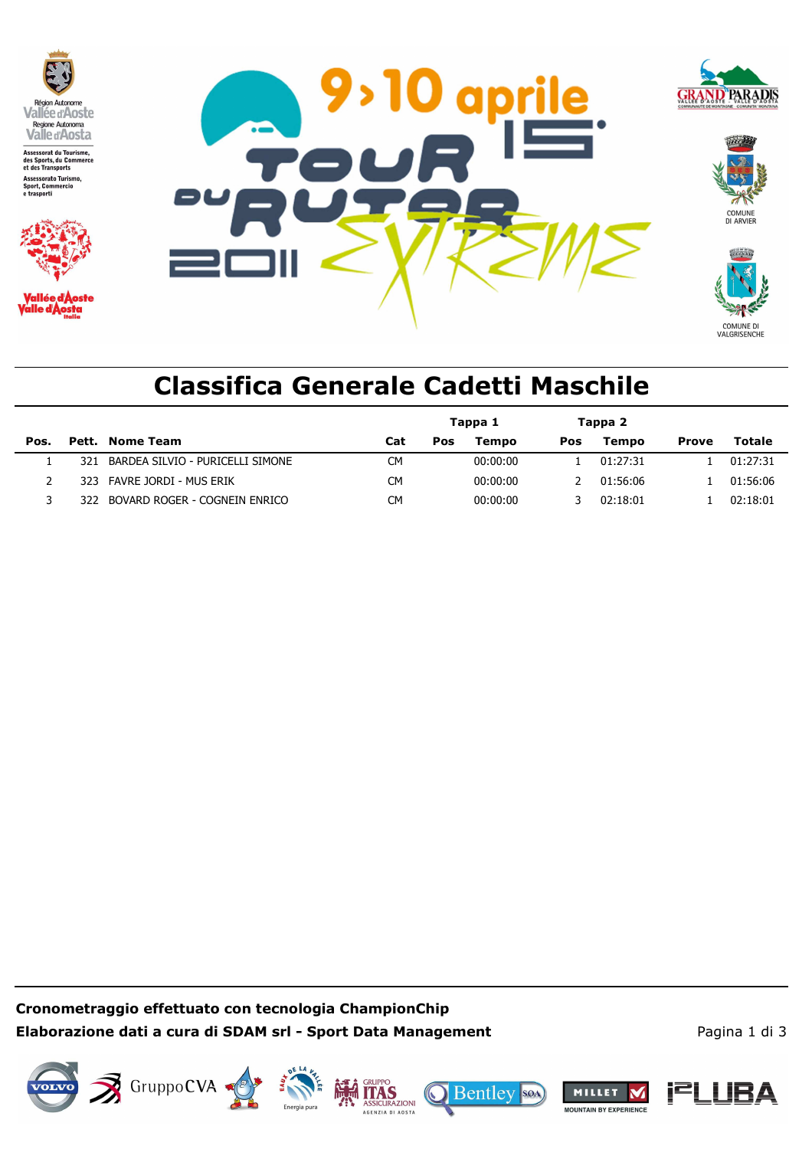





# **Classifica Generale Cadetti Maschile**

|      |                                      |           | Tappa 1 |          | Tappa 2 |          |              |          |
|------|--------------------------------------|-----------|---------|----------|---------|----------|--------------|----------|
| Pos. | Pett. Nome Team                      | Cat       | Pos     | Tempo    | Pos     | Tempo    | <b>Prove</b> | Totale   |
|      | 321 BARDEA SILVIO - PURICELLI SIMONE | СM        |         | 00:00:00 |         | 01:27:31 |              | 01:27:31 |
|      | 323 FAVRE JORDI - MUS ERIK           | <b>CM</b> |         | 00:00:00 |         | 01:56:06 |              | 01:56:06 |
|      | 322 BOVARD ROGER - COGNEIN ENRICO    | <b>CM</b> |         | 00:00:00 |         | 02:18:01 |              | 02:18:01 |

**Cronometraggio effettuato con tecnologia ChampionChip Elaborazione dati a cura di SDAM srl - Sport Data Management** Pagina 1 di 3



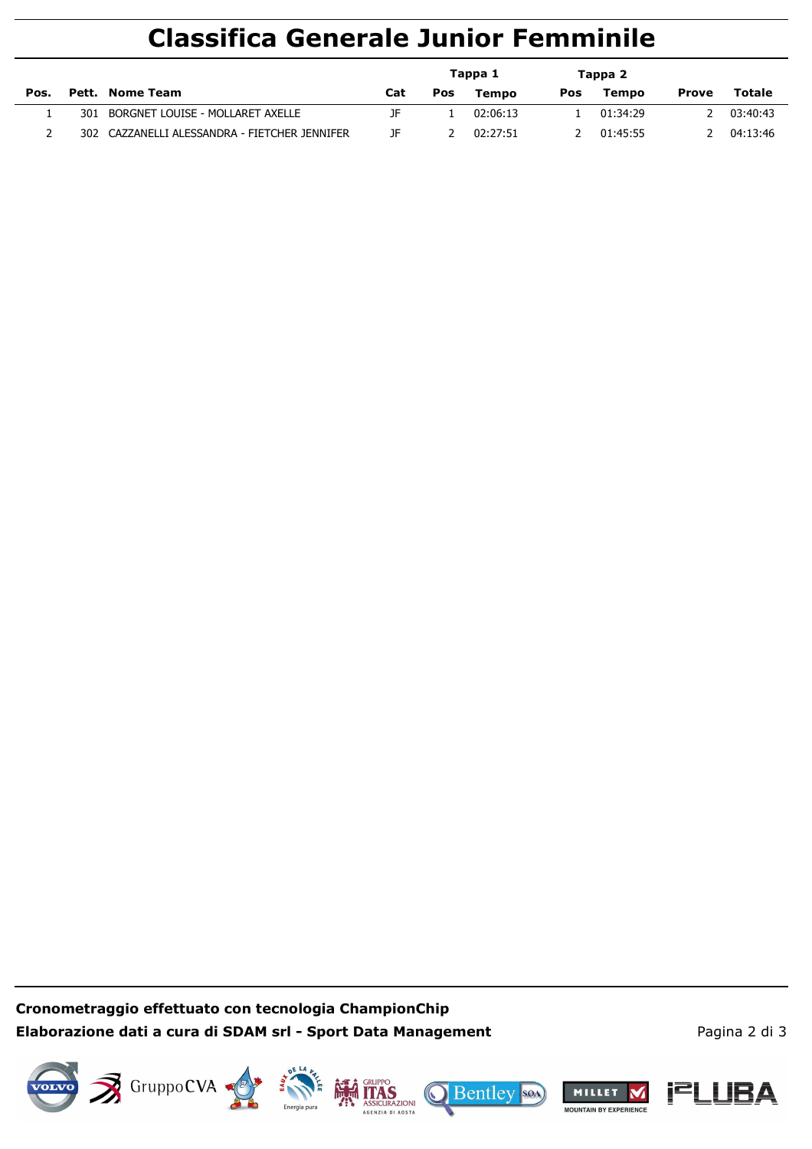# **Classifica Generale Junior Femminile**

|      |      |                                           |     | Tappa 1 |          |            | Tappa 2  |       |          |
|------|------|-------------------------------------------|-----|---------|----------|------------|----------|-------|----------|
| Pos. |      | Pett. Nome Team                           | Cat | Pos     | Tempo    | <b>Pos</b> | Tempo    | Prove | Totale   |
|      | 301  | BORGNET LOUISE - MOLLARET AXELLE          | JF  |         | 02:06:13 |            | 01:34:29 | 2     | 03:40:43 |
|      | 302. | CAZZANELLI ALESSANDRA - FIETCHER JENNIFER | JF  |         | 02:27:51 |            | 01:45:55 |       | 04:13:46 |

**Cronometraggio effettuato con tecnologia ChampionChip Elaborazione dati a cura di SDAM srl - Sport Data Management** Pagne and Pagina 2 di 3